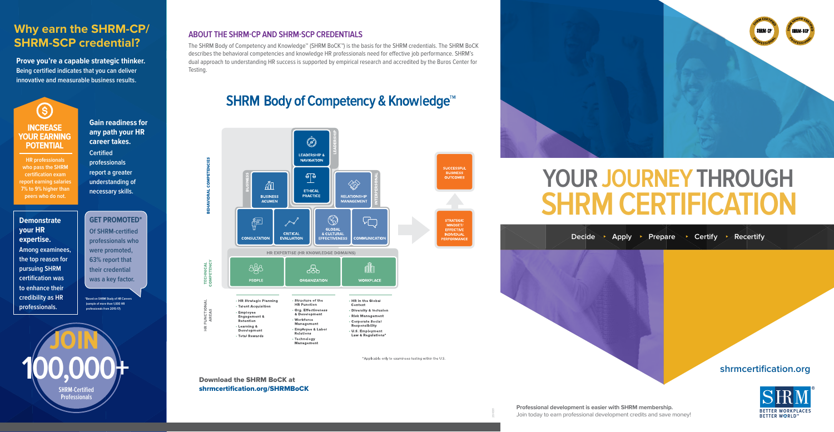**Prove you're a capable strategic thinker. Being certified indicates that you can deliver innovative and measurable business results.** 

### **Gain readiness for any path your HR career takes.**

**Certified professionals report a greater understanding of necessary skills.**

**GET PROMOTED\* Of SHRM-certified professionals who were promoted, 63% report that their credential was a key factor.** 



The SHRM Body of Competency and Knowledge™ (SHRM BoCK™) is the basis for the SHRM credentials. The SHRM BoCK describes the behavioral competencies and knowledge HR professionals need for effective job performance. SHRM's dual approach to understanding HR success is supported by empirical research and accredited by the Buros Center for **Testing** 

# **SHRM Body of Competency & Knowledge<sup>™</sup>**



\*Applicable only to examinees testing within the U.S.

## **shrmcertification.org**



**Professional development is easier with SHRM membership.** Join today to earn professional development credits and save money!

# **SHRM CERTIFICATION YOUR JOURNEY THROUGH**

Decide Apply Prepare **Certify Recertify** 

## **Why earn the SHRM-CP/ SHRM-SCP credential?**



Download the SHRM BoCK at shrmcertification.org/SHRMBoCK



**\*Based on SHRM Study of HR Careers (sample of more than 1,000 HR professionals from 2015-17)**